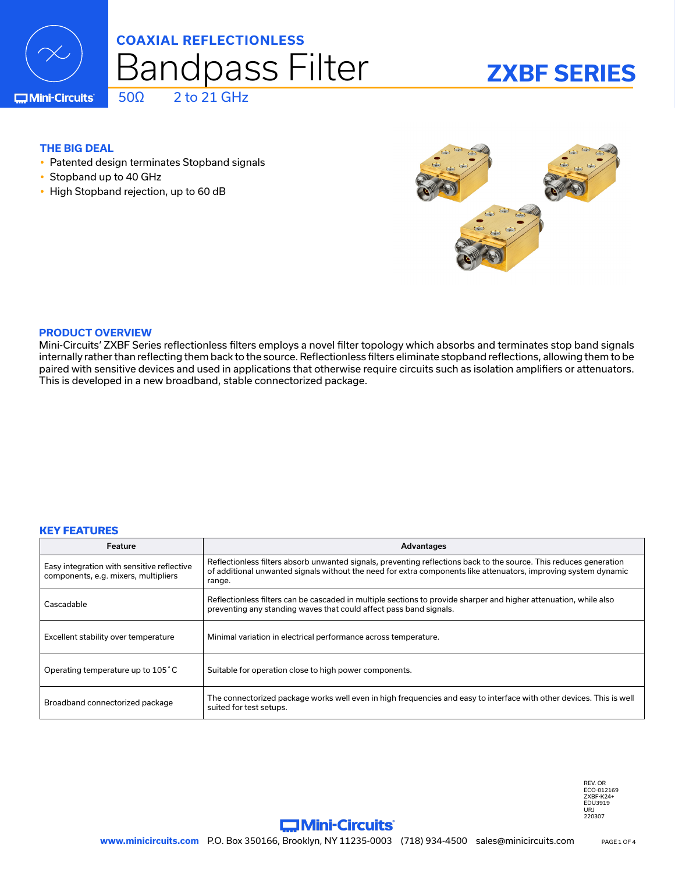

# $50\Omega$  2 to 21 GHz Bandpass Filter **COAXIAL REFLECTIONLESS**

# **ZXBF SERIES**

**C**Mini-Circuits

# **THE BIG DEAL**

- Patented design terminates Stopband signals
- Stopband up to 40 GHz
- High Stopband rejection, up to 60 dB



### **PRODUCT OVERVIEW**

Mini-Circuits' ZXBF Series reflectionless filters employs a novel filter topology which absorbs and terminates stop band signals internally rather than reflecting them back to the source. Reflectionless filters eliminate stopband reflections, allowing them to be paired with sensitive devices and used in applications that otherwise require circuits such as isolation amplifiers or attenuators. This is developed in a new broadband, stable connectorized package.

### **KEY FEATURES**

| Feature                                                                            | Advantages                                                                                                                                                                                                                                      |
|------------------------------------------------------------------------------------|-------------------------------------------------------------------------------------------------------------------------------------------------------------------------------------------------------------------------------------------------|
| Easy integration with sensitive reflective<br>components, e.g. mixers, multipliers | Reflectionless filters absorb unwanted signals, preventing reflections back to the source. This reduces generation<br>of additional unwanted signals without the need for extra components like attenuators, improving system dynamic<br>range. |
| Cascadable                                                                         | Reflectionless filters can be cascaded in multiple sections to provide sharper and higher attenuation, while also<br>preventing any standing waves that could affect pass band signals.                                                         |
| Excellent stability over temperature                                               | Minimal variation in electrical performance across temperature.                                                                                                                                                                                 |
| Operating temperature up to 105 °C                                                 | Suitable for operation close to high power components.                                                                                                                                                                                          |
| Broadband connectorized package                                                    | The connectorized package works well even in high frequencies and easy to interface with other devices. This is well<br>suited for test setups.                                                                                                 |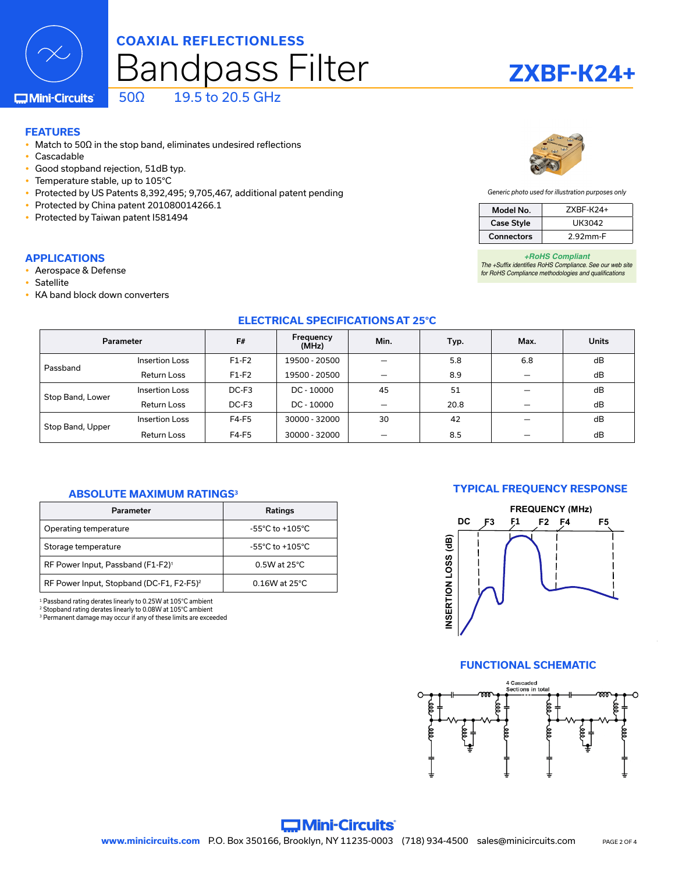# Bandpass Filter **COAXIAL REFLECTIONLESS** 50Ω 19.5 to 20.5 GHz

**C**Mini-Circuits

### **FEATURES**

- Match to 50Ω in the stop band, eliminates undesired reflections
- Cascadable
- Good stopband rejection, 51dB typ.
- Temperature stable, up to 105°C
- Protected by US Patents 8,392,495; 9,705,467, additional patent pending
- Protected by China patent 201080014266.1
- Protected by Taiwan patent I581494

#### **APPLICATIONS**

- Aerospace & Defense
- Satellite
- KA band block down converters



#### *Generic photo used for illustration purposes only*

| Model No.         | $ZXBF-K24+$ |  |
|-------------------|-------------|--|
| <b>Case Style</b> | UK3042      |  |
| Connectors        | 2.92mm-F    |  |

*+RoHS Compliant The +Suffix identifies RoHS Compliance. See our web site for RoHS Compliance methodologies and qualifications*

### **ELECTRICAL SPECIFICATIONS AT 25°C**

| Parameter        |                       | F#      | Frequency<br>(MHz) | Min. | Typ. | Max. | <b>Units</b> |
|------------------|-----------------------|---------|--------------------|------|------|------|--------------|
| Passband         | Insertion Loss        | $F1-F2$ | 19500 - 20500      |      | 5.8  | 6.8  | dB           |
|                  | <b>Return Loss</b>    | $F1-F2$ | 19500 - 20500      |      | 8.9  |      | dB           |
| Stop Band, Lower | <b>Insertion Loss</b> | DC-F3   | DC - 10000         | 45   | 51   |      | dB           |
|                  | <b>Return Loss</b>    | DC-F3   | $DC - 10000$       |      | 20.8 |      | dB           |
| Stop Band, Upper | <b>Insertion Loss</b> | F4-F5   | 30000 - 32000      | 30   | 42   |      | dB           |
|                  | Return Loss           | F4-F5   | 30000 - 32000      |      | 8.5  |      | dB           |

#### **ABSOLUTE MAXIMUM RATINGS3**

| <b>Parameter</b>                                     | <b>Ratings</b>                      |  |  |
|------------------------------------------------------|-------------------------------------|--|--|
| Operating temperature                                | $-55^{\circ}$ C to $+105^{\circ}$ C |  |  |
| Storage temperature                                  | $-55^{\circ}$ C to $+105^{\circ}$ C |  |  |
| RF Power Input, Passband (F1-F2) <sup>1</sup>        | $0.5W$ at 25 $°C$                   |  |  |
| RF Power Input, Stopband (DC-F1, F2-F5) <sup>2</sup> | $0.16W$ at 25 $°C$                  |  |  |

1 Passband rating derates linearly to 0.25W at 105°C ambient 2 Stopband rating derates linearly to 0.08W at 105°C ambient

3 Permanent damage may occur if any of these limits are exceeded

### **TYPICAL FREQUENCY RESPONSE**



#### **FUNCTIONAL SCHEMATIC**



# **ZXBF-K24+**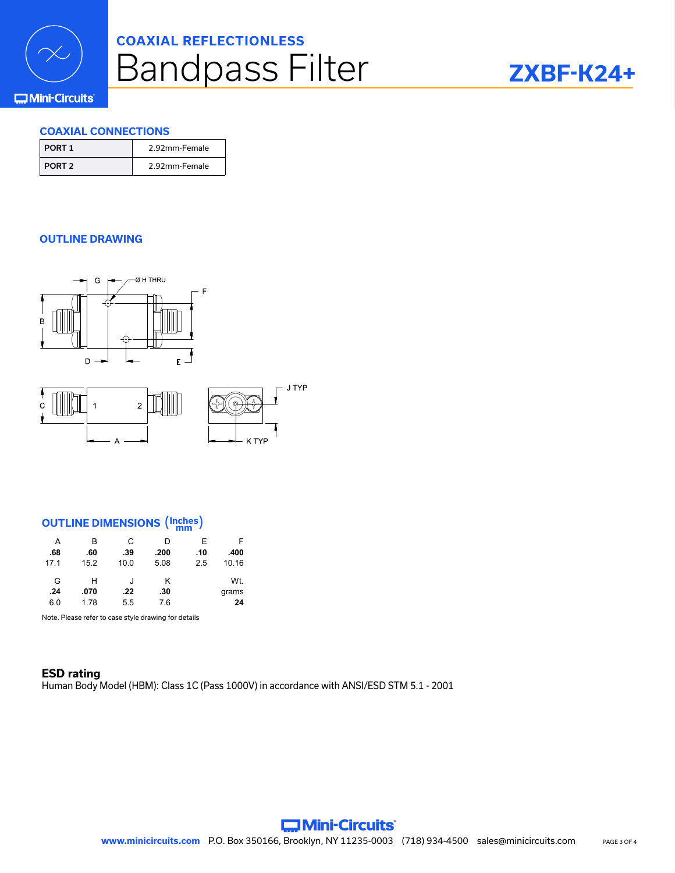

# Bandpass Filter **COAXIAL REFLECTIONLESS**



# **COMini-Circuits**

## **COAXIAL CONNECTIONS**

| PORT 1 | 2.92mm-Female |
|--------|---------------|
| PORT 2 | 2.92mm-Female |

# **OUTLINE DRAWING**



# **OUTLINE DIMENSIONS** (**Inches mm** )

 $\Delta$ 

| A    | в    | С    | D    | Е   | F     |
|------|------|------|------|-----|-------|
| .68  | .60  | .39  | .200 | .10 | .400  |
| 17.1 | 15.2 | 10.0 | 5.08 | 2.5 | 10.16 |
| G    | н    | J    | κ    |     | Wt.   |
| .24  | .070 | .22  | .30  |     | grams |
| 6.0  | 1.78 | 5.5  | 7.6  |     | 24    |

Note. Please refer to case style drawing for details

### **ESD rating** Human Body Model (HBM): Class 1C (Pass 1000V) in accordance with ANSI/ESD STM 5.1 - 2001